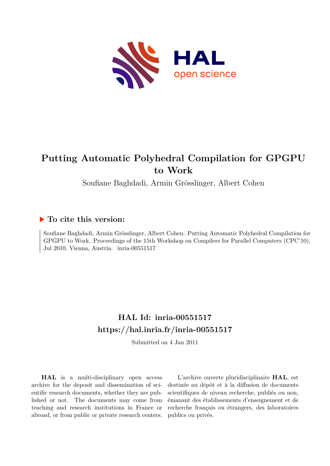

# **Putting Automatic Polyhedral Compilation for GPGPU to Work**

Soufiane Baghdadi, Armin Grösslinger, Albert Cohen

# **To cite this version:**

Soufiane Baghdadi, Armin Grösslinger, Albert Cohen. Putting Automatic Polyhedral Compilation for GPGPU to Work. Proceedings of the 15th Workshop on Compilers for Parallel Computers (CPC'10), Jul 2010, Vienna, Austria. inria-00551517

# **HAL Id: inria-00551517 <https://hal.inria.fr/inria-00551517>**

Submitted on 4 Jan 2011

**HAL** is a multi-disciplinary open access archive for the deposit and dissemination of scientific research documents, whether they are published or not. The documents may come from teaching and research institutions in France or abroad, or from public or private research centers.

L'archive ouverte pluridisciplinaire **HAL**, est destinée au dépôt et à la diffusion de documents scientifiques de niveau recherche, publiés ou non, émanant des établissements d'enseignement et de recherche français ou étrangers, des laboratoires publics ou privés.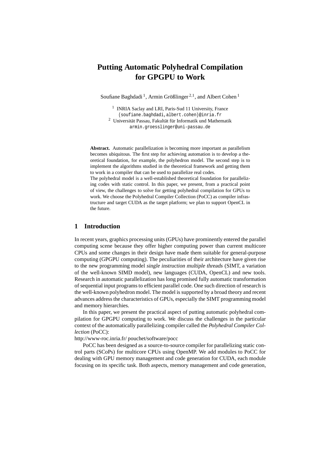# **Putting Automatic Polyhedral Compilation for GPGPU to Work**

Soufiane Baghdadi<sup>1</sup>, Armin Größlinger<sup>2,1</sup>, and Albert Cohen<sup>1</sup>

<sup>1</sup> INRIA Saclay and LRI, Paris-Sud 11 University, France {soufiane.baghdadi,albert.cohen}@inria.fr

 $2$  Universität Passau, Fakultät für Informatik und Mathematik armin.groesslinger@uni-passau.de

**Abstract.** Automatic parallelization is becoming more important as parallelism becomes ubiquitous. The first step for achieving automation is to develop a theoretical foundation, for example, the polyhedron model. The second step is to implement the algorithms studied in the theoretical framework and getting them to work in a compiler that can be used to parallelize real codes.

The polyhedral model is a well-established theoretical foundation for parallelizing codes with static control. In this paper, we present, from a practical point of view, the challenges to solve for getting polyhedral compilation for GPUs to work. We choose the Polyhedral Compiler Collection (PoCC) as compiler infrastructure and target CUDA as the target platform; we plan to support OpenCL in the future.

# **1 Introduction**

In recent years, graphics processing units (GPUs) have prominently entered the parallel computing scene because they offer higher computing power than current multicore CPUs and some changes in their design have made them suitable for general-purpose computing (GPGPU computing). The peculiarities of their architecture have given rise to the new programming model single instruction multiple threads (SIMT, a variation of the well-known SIMD model), new languages (CUDA, OpenCL) and new tools. Research in automatic parallelization has long promised fully automatic transformation of sequential input programs to efficient parallel code. One such direction of research is the well-known polyhedron model. The model is supported by a broad theory and recent advances address the characteristics of GPUs, especially the SIMT programming model and memory hierarchies.

In this paper, we present the practical aspect of putting automatic polyhedral compilation for GPGPU computing to work. We discuss the challenges in the particular context of the automatically parallelizing compiler called the *Polyhedral Compiler Collection* (PoCC):

http://www-roc.inria.fr/ pouchet/software/pocc

PoCC has been designed as a source-to-source compiler for parallelizing static control parts (SCoPs) for multicore CPUs using OpenMP. We add modules to PoCC for dealing with GPU memory management and code generation for CUDA, each module focusing on its specific task. Both aspects, memory management and code generation,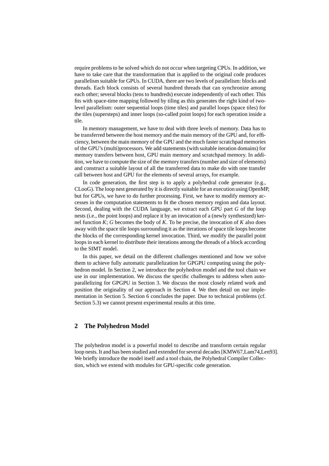require problems to be solved which do not occur when targeting CPUs. In addition, we have to take care that the transformation that is applied to the original code produces parallelism suitable for GPUs. In CUDA, there are two levels of parallelism: blocks and threads. Each block consists of several hundred threads that can synchronize among each other; several blocks (tens to hundreds) execute independently of each other. This fits with space-time mapping followed by tiling as this generates the right kind of twolevel parallelism: outer sequential loops (time tiles) and parallel loops (space tiles) for the tiles (supersteps) and inner loops (so-called point loops) for each operation inside a tile.

In memory management, we have to deal with three levels of memory. Data has to be transferred between the host memory and the main memory of the GPU and, for efficiency, between the main memory of the GPU and the much faster scratchpad memories of the GPU's (multi)processors. We add statements (with suitable iteration domains) for memory transfers between host, GPU main memory and scratchpad memory. In addition, we have to compute the size of the memory transfers (number and size of elements) and construct a suitable layout of all the transferred data to make do with one transfer call between host and GPU for the elements of several arrays, for example.

In code generation, the first step is to apply a polyhedral code generator (e.g., CLooG). The loop nest generated by it is directly suitable for an execution using OpenMP, but for GPUs, we have to do further processing. First, we have to modify memory accesses in the computation statements to fit the chosen memory region and data layout. Second, dealing with the CUDA language, we extract each GPU part *G* of the loop nests (i.e., the point loops) and replace it by an invocation of a (newly synthesized) kernel function *K*; *G* becomes the body of *K*. To be precise, the invocation of *K* also does away with the space tile loops surrounding it as the iterations of space tile loops become the blocks of the corresponding kernel invocation. Third, we modify the parallel point loops in each kernel to distribute their iterations among the threads of a block according to the SIMT model.

In this paper, we detail on the different challenges mentioned and how we solve them to achieve fully automatic parallelization for GPGPU computing using the polyhedron model. In Section 2, we introduce the polyhedron model and the tool chain we use in our implementation. We discuss the specific challenges to address when autoparallelizing for GPGPU in Section 3. We discuss the most closely related work and position the originality of our approach in Section 4. We then detail on our implementation in Section 5. Section 6 concludes the paper. Due to technical problems (cf. Section 5.3) we cannot present experimental results at this time.

### **2 The Polyhedron Model**

The polyhedron model is a powerful model to describe and transform certain regular loop nests. It and has been studied and extended for several decades [KMW67,Lam74,Len93]. We briefly introduce the model itself and a tool chain, the Polyhedral Compiler Collection, which we extend with modules for GPU-specific code generation.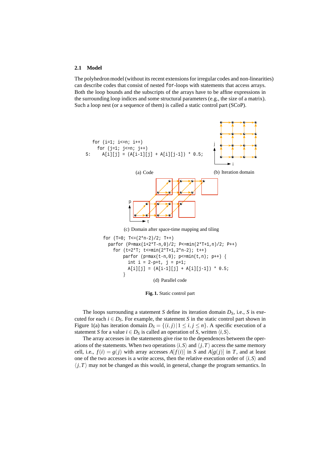#### **2.1 Model**

The polyhedron model (without its recent extensions for irregular codes and non-linearities) can describe codes that consist of nested for-loops with statements that access arrays. Both the loop bounds and the subscripts of the arrays have to be affine expressions in the surrounding loop indices and some structural parameters (e.g., the size of a matrix). Such a loop nest (or a sequence of them) is called a static control part (SCoP).



**Fig. 1.** Static control part

The loops surrounding a statement *S* define its iteration domain *DS*, i.e., *S* is executed for each  $i \in D_S$ . For example, the statement *S* in the static control part shown in Figure 1(a) has iteration domain  $D_S = \{(i, j) | 1 \le i, j \le n\}$ . A specific execution of a statement *S* for a value  $i \in D_S$  is called an operation of *S*, written  $\langle i, S \rangle$ .

The array accesses in the statements give rise to the dependences between the operations of the statements. When two operations  $\langle i, S \rangle$  and  $\langle j, T \rangle$  access the same memory cell, i.e.,  $f(i) = g(j)$  with array accesses  $A[f(i)]$  in *S* and  $A[g(j)]$  in *T*, and at least one of the two accesses is a write access, then the relative execution order of  $\langle i, S \rangle$  and  $\langle j, T \rangle$  may not be changed as this would, in general, change the program semantics. In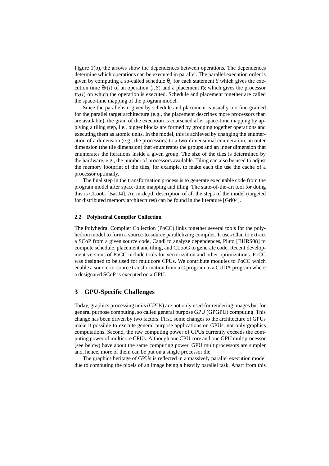Figure 1(b), the arrows show the dependences between operations. The dependences determine which operations can be executed in parallel. The parallel execution order is given by computing a so-called schedule  $\theta_S$  for each statement *S* which gives the execution time  $\theta_S(i)$  of an operation  $\langle i, S \rangle$  and a placement  $\pi_S$  which gives the processor  $\pi_S(i)$  on which the operation is executed. Schedule and placement together are called the space-time mapping of the program model.

Since the parallelism given by schedule and placement is usually too fine-grained for the parallel target architecture (e.g., the placement describes more processors than are available), the grain of the execution is coarsened after space-time mapping by applying a tiling step, i.e., bigger blocks are formed by grouping together operations and executing them as atomic units. In the model, this is achieved by changing the enumeration of a dimension (e.g., the processors) to a two-dimensional enumeration, an outer dimension (the tile dimension) that enumerates the groups and an inner dimension that enumerates the iterations inside a given group. The size of the tiles is determined by the hardware, e.g., the number of processors available. Tiling can also be used to adjust the memory footprint of the tiles, for example, to make each tile use the cache of a processor optimally.

The final step in the transformation process is to generate executable code from the program model after space-time mapping and tiling. The state-of-the-art tool for doing this is CLooG [Bas04]. An in-depth description of all the steps of the model (targeted for distributed memory architectures) can be found in the literature [Gri04].

#### **2.2 Polyhedral Compiler Collection**

The Polyhedral Compiler Collection (PoCC) links together several tools for the polyhedron model to form a source-to-source parallelizing compiler. It uses Clan to extract a SCoP from a given source code, Candl to analyze dependences, Pluto [BHRS08] to compute schedule, placement and tiling, and CLooG to generate code. Recent development versions of PoCC include tools for vectorization and other optimizations. PoCC was designed to be used for multicore CPUs. We contribute modules to PoCC which enable a source-to-source transformation from a C program to a CUDA program where a designated SCoP is executed on a GPU.

## **3 GPU-Specific Challenges**

Today, graphics processing units (GPUs) are not only used for rendering images but for general purpose computing, so called general purpose GPU (GPGPU) computing. This change has been driven by two factors. First, some changes to the architecture of GPUs make it possible to execute general purpose applications on GPUs, not only graphics computations. Second, the raw computing power of GPUs currently exceeds the computing power of multicore CPUs. Although one CPU core and one GPU multiprocessor (see below) have about the same computing power, GPU multiprocessors are simpler and, hence, more of them can be put on a single processor die.

The graphics heritage of GPUs is reflected in a massively parallel execution model due to computing the pixels of an image being a heavily parallel task. Apart from this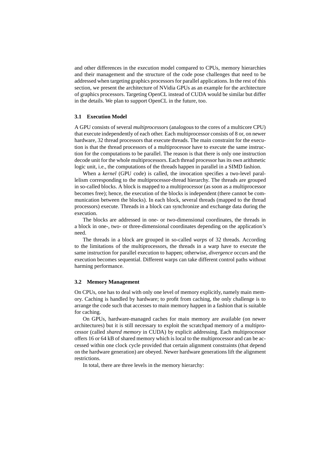and other differences in the execution model compared to CPUs, memory hierarchies and their management and the structure of the code pose challenges that need to be addressed when targeting graphics processors for parallel applications. In the rest of this section, we present the architecture of NVidia GPUs as an example for the architecture of graphics processors. Targeting OpenCL instead of CUDA would be similar but differ in the details. We plan to support OpenCL in the future, too.

#### **3.1 Execution Model**

A GPU consists of several *multiprocessors* (analogous to the cores of a multicore CPU) that execute independently of each other. Each multiprocessor consists of 8 or, on newer hardware, 32 thread processors that execute threads. The main constraint for the execution is that the thread processors of a multiprocessor have to execute the same instruction for the computations to be parallel. The reason is that there is only one instruction decode unit for the whole multiprocessors. Each thread processor has its own arithmetic logic unit, i.e., the computations of the threads happen in parallel in a SIMD fashion.

When a *kernel* (GPU code) is called, the invocation specifies a two-level parallelism corresponding to the multiprocessor-thread hierarchy. The threads are grouped in so-called blocks. A block is mapped to a multiprocessor (as soon as a multiprocessor becomes free); hence, the execution of the blocks is independent (there cannot be communication between the blocks). In each block, several threads (mapped to the thread processors) execute. Threads in a block can synchronize and exchange data during the execution.

The blocks are addressed in one- or two-dimensional coordinates, the threads in a block in one-, two- or three-dimensional coordinates depending on the application's need.

The threads in a block are grouped in so-called *warps* of 32 threads. According to the limitations of the multiprocessors, the threads in a warp have to execute the same instruction for parallel execution to happen; otherwise, *divergence* occurs and the execution becomes sequential. Different warps can take different control paths without harming performance.

#### **3.2 Memory Management**

On CPUs, one has to deal with only one level of memory explicitly, namely main memory. Caching is handled by hardware; to profit from caching, the only challenge is to arrange the code such that accesses to main memory happen in a fashion that is suitable for caching.

On GPUs, hardware-managed caches for main memory are available (on newer architectures) but it is still necessary to exploit the scratchpad memory of a multiprocessor (called *shared memory* in CUDA) by explicit addressing. Each multiprocessor offers 16 or 64 kB of shared memory which is local to the multiprocessor and can be accessed within one clock cycle provided that certain alignment constraints (that depend on the hardware generation) are obeyed. Newer hardware generations lift the alignment restrictions.

In total, there are three levels in the memory hierarchy: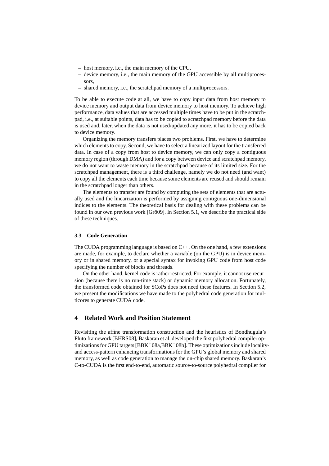- **–** host memory, i.e., the main memory of the CPU,
- **–** device memory, i.e., the main memory of the GPU accessible by all multiprocessors,
- **–** shared memory, i.e., the scratchpad memory of a multiprocessors.

To be able to execute code at all, we have to copy input data from host memory to device memory and output data from device memory to host memory. To achieve high performance, data values that are accessed multiple times have to be put in the scratchpad, i.e., at suitable points, data has to be copied to scratchpad memory before the data is used and, later, when the data is not used/updated any more, it has to be copied back to device memory.

Organizing the memory transfers places two problems. First, we have to determine which elements to copy. Second, we have to select a linearized layout for the transferred data. In case of a copy from host to device memory, we can only copy a contiguous memory region (through DMA) and for a copy between device and scratchpad memory, we do not want to waste memory in the scratchpad because of its limited size. For the scratchpad management, there is a third challenge, namely we do not need (and want) to copy all the elements each time because some elements are reused and should remain in the scratchpad longer than others.

The elements to transfer are found by computing the sets of elements that are actually used and the linearization is performed by assigning contiguous one-dimensional indices to the elements. The theoretical basis for dealing with these problems can be found in our own previous work [Grö09]. In Section 5.1, we describe the practical side of these techniques.

#### **3.3 Code Generation**

The CUDA programming language is based on C++. On the one hand, a few extensions are made, for example, to declare whether a variable (on the GPU) is in device memory or in shared memory, or a special syntax for invoking GPU code from host code specifying the number of blocks and threads.

On the other hand, kernel code is rather restricted. For example, it cannot use recursion (because there is no run-time stack) or dynamic memory allocation. Fortunately, the transformed code obtained for SCoPs does not need these features. In Section 5.2, we present the modifications we have made to the polyhedral code generation for multicores to generate CUDA code.

# **4 Related Work and Position Statement**

Revisiting the affine transformation construction and the heuristics of Bondhugula's Pluto framework [BHRS08], Baskaran et al. developed the first polyhedral compiler optimizations for GPU targets  $[BBK^+08a,BBK^+08b]$ . These optimizations include localityand access-pattern enhancing transformations for the GPU's global memory and shared memory, as well as code generation to manage the on-chip shared memory. Baskaran's C-to-CUDA is the first end-to-end, automatic source-to-source polyhedral compiler for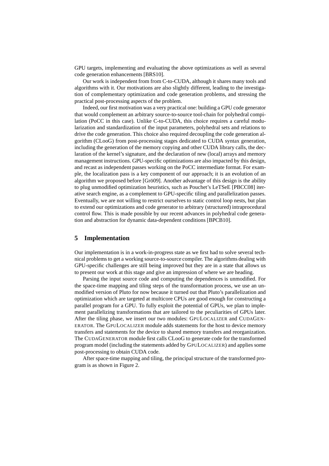GPU targets, implementing and evaluating the above optimizations as well as several code generation enhancements [BRS10].

Our work is independent from from C-to-CUDA, although it shares many tools and algorithms with it. Our motivations are also slightly different, leading to the investigation of complementary optimization and code generation problems, and stressing the practical post-processing aspects of the problem.

Indeed, our first motivation was a very practical one: building a GPU code generator that would complement an arbitrary source-to-source tool-chain for polyhedral compilation (PoCC in this case). Unlike C-to-CUDA, this choice requires a careful modularization and standardization of the input parameters, polyhedral sets and relations to drive the code generation. This choice also required decoupling the code generation algorithm (CLooG) from post-processing stages dedicated to CUDA syntax generation, including the generation of the memory copying and other CUDA library calls, the declaration of the kernel's signature, and the declaration of new (local) arrays and memory management instructions. GPU-specific optimizations are also impacted by this design, and recast as independent passes working on the PoCC intermediate format. For example, the localization pass is a key component of our approach; it is an evolution of an algorithm we proposed before [Grö09]. Another advantage of this design is the ability to plug unmodified optimization heuristics, such as Pouchet's LeTSeE [PBCC08] iterative search engine, as a complement to GPU-specific tiling and parallelization passes. Eventually, we are not willing to restrict ourselves to static control loop nests, but plan to extend our optimizations and code generator to arbitrary (structured) intraprocedural control flow. This is made possible by our recent advances in polyhedral code generation and abstraction for dynamic data-dependent conditions [BPCB10].

## **5 Implementation**

Our implementation is in a work-in-progress state as we first had to solve several technical problems to get a working source-to-source compiler. The algorithms dealing with GPU-specific challenges are still being improved but they are in a state that allows us to present our work at this stage and give an impression of where we are heading.

Parsing the input source code and computing the dependences is unmodified. For the space-time mapping and tiling steps of the transformation process, we use an unmodified version of Pluto for now because it turned out that Pluto's parallelization and optimization which are targeted at multicore CPUs are good enough for constructing a parallel program for a GPU. To fully exploit the potential of GPUs, we plan to implement parallelizing transformations that are tailored to the peculiarities of GPUs later. After the tiling phase, we insert our two modules: GPULOCALIZER and CUDAGEN-ERATOR. The GPULOCALIZER module adds statements for the host to device memory transfers and statements for the device to shared memory transfers and reorganization. The CUDAGENERATOR module first calls CLooG to generate code for the transformed program model (including the statements added by GPULOCALIZER) and applies some post-processing to obtain CUDA code.

After space-time mapping and tiling, the principal structure of the transformed program is as shown in Figure 2.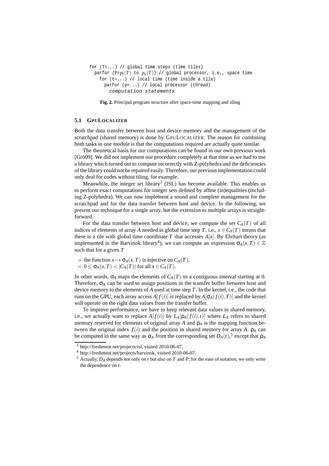```
for (T=...)/ / global time steps (time tiles)
 parfor (P=p_l(T) to p_u(T)) // global processor, i.e., space time
   for (t=...) // local time (time inside a tile)
     parfor (p=...) // local processor (thread)
       computation statements
```
**Fig. 2.** Principal program structure after space-time mapping and tiling

#### **5.1 GPULOCALIZER**

Both the data transfer between host and device memory and the management of the scratchpad (shared memory) is done by GPULOCALIZER. The reason for combining both tasks in one module is that the computations required are actually quite similar.

The theoretical basis for our computations can be found in our own previous work [Grö09]. We did not implement our procedure completely at that time as we had to use a library which turned out to compute incorrectly with Z-polyhedra and the deficiencies of the library could not be repaired easily. Therefore, our previous implementation could only deal for codes without tiling, for example.

Meanwhile, the integer set library<sup>3</sup> (ISL) has become available. This enables us to perform exact computations for integer sets defined by affine (in)equalities (including Z-polyhedra). We can now implement a sound and complete management for the scratchpad and for the data transfer between host and device. In the following, we present our technique for a single array, but the extension to multiple arrays is straightforward.

For the data transfer between host and device, we compute the set  $C_A(T)$  of all indices of elements of array *A* needed in global time step *T*, i.e.,  $x \in C_A(T)$  means that there is a tile with global time coordinate  $T$  that accesses  $A[x]$ . By Ehrhart theory (as implemented in the Barvinok library<sup>4</sup>), we can compute an expression  $\sigma_A(x,T) \in \mathbb{Z}$ such that for a given *T*

- the function 
$$
x \mapsto \sigma_A(x,T)
$$
 is injective on  $C_A(T)$ ,

 $-0 \leq \sigma_A(x,T) < |C_A(T)|$  for all  $x \in C_A(T)$ .

In other words,  $\sigma_A$  maps the elements of  $C_A(T)$  to a contiguous interval starting at 0. Therefore,  $\sigma_A$  can be used to assign positions in the transfer buffer between host and device memory to the elements of *A* used at time step *T*. In the kernel, i.e., the code that runs on the GPU, each array access  $A[f(i)]$  is replaced by  $A[\sigma_A(f(i),T)]$  and the kernel will operate on the right data values from the transfer buffer.

To improve performance, we have to keep relevant data values in shared memory, i.e., we actually want to replace  $A[f(i)]$  by  $L_A[\rho_A(f(i),t)]$  where  $L_A$  refers to shared memory reserved for elements of original array  $A$  and  $\rho_A$  is the mapping function between the original index  $f(i)$  and the position in shared memory for array *A*.  $\rho_A$  can be computed in the same way as  $\sigma_A$  from the corresponding set  $D_A(t)$ ,<sup>5</sup> except that  $\rho_A$ 

<sup>3</sup> http://freshmeat.net/projects/isl, visited 2010-06-07.

<sup>4</sup> http://freshmeat.net/projects/barvinok, visited 2010-06-07.

<sup>5</sup> Actually, *D<sup>A</sup>* depends not only on *t* but also on *T* and *P*; for the ease of notation, we only write the dependence on *t*.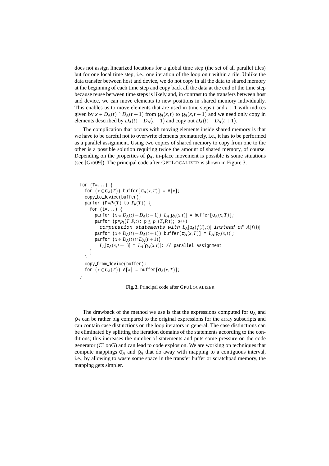does not assign linearized locations for a global time step (the set of all parallel tiles) but for one local time step, i.e., one iteration of the loop on *t* within a tile. Unlike the data transfer between host and device, we do not copy in all the data to shared memory at the beginning of each time step and copy back all the data at the end of the time step because reuse between time steps is likely and, in contrast to the transfers between host and device, we can move elements to new positions in shared memory individually. This enables us to move elements that are used in time steps  $t$  and  $t + 1$  with indices given by  $x \in D_A(t) \cap D_A(t+1)$  from  $\rho_A(x,t)$  to  $\rho_A(x,t+1)$  and we need only copy in elements described by  $D_A(t) - D_A(t-1)$  and copy out  $D_A(t) - D_A(t+1)$ .

The complication that occurs with moving elements inside shared memory is that we have to be careful not to overwrite elements prematurely, i.e., it has to be performed as a parallel assignment. Using two copies of shared memory to copy from one to the other is a possible solution requiring twice the amount of shared memory, of course. Depending on the properties of  $\rho_A$ , in-place movement is possible is some situations (see [Grö09]). The principal code after GPULOCALIZER is shown in Figure 3.

```
for (T=...) {
  for (x \in C_A(T)) buffer[\sigma_A(x,T)] = A[x];
  copy to device(buffer);
  parfor (P=P_I(T) to P_u(T)) {
    for (t=...) {
       \text{parfor } (x \in D_A(t) - D_A(t-1)) L_A[\rho_A(x,t)] = \text{buffer}[\sigma_A(x,T)];
       parfor (p=p_l(T, P, t); p \leq p_u(T, P, t); p++)computation statements with L_A[p_A(f(i),t)] instead of A[f(i)]\text{parfor } (x \in D_A(t) - D_A(t+1)) \text{ buffer}[\sigma_A(x,T)] = L_A[\rho_A(x,t)];parfor (x \in D_A(t) \cap D_A(t+1))L_A[\rho_A(x,t+1)] = L_A[\rho_A(x,t)]; // parallel assignment
     }
  }
  copy from device(buffer);
  for (x \in C_A(T)) A[x] = \text{buffer}[\sigma_A(x,T)];}
```
**Fig. 3.** Principal code after GPULOCALIZER

The drawback of the method we use is that the expressions computed for  $\sigma_A$  and ρ*<sup>A</sup>* can be rather big compared to the original expressions for the array subscripts and can contain case distinctions on the loop iterators in general. The case distinctions can be eliminated by splitting the iteration domains of the statements according to the conditions; this increases the number of statements and puts some pressure on the code generator (CLooG) and can lead to code explosion. We are working on techniques that compute mappings  $\sigma_A$  and  $\rho_A$  that do away with mapping to a contiguous interval, i.e., by allowing to waste some space in the transfer buffer or scratchpad memory, the mapping gets simpler.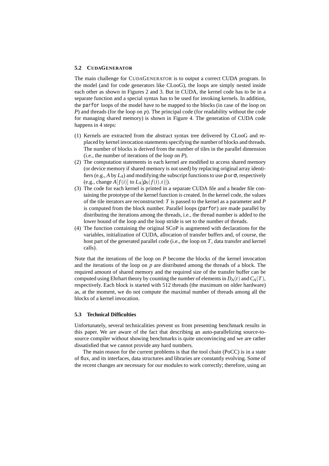#### **5.2 CUDAGENERATOR**

The main challenge for CUDAGENERATOR is to output a correct CUDA program. In the model (and for code generators like CLooG), the loops are simply nested inside each other as shown in Figures 2 and 3. But in CUDA, the kernel code has to be in a separate function and a special syntax has to be used for invoking kernels. In addition, the parfor loops of the model have to be mapped to the blocks (in case of the loop on *P*) and threads (for the loop on *p*). The principal code (for readability without the code for managing shared memory) is shown in Figure 4. The generation of CUDA code happens in 4 steps:

- (1) Kernels are extracted from the abstract syntax tree delivered by CLooG and replaced by kernel invocation statements specifying the number of blocks and threads. The number of blocks is derived from the number of tiles in the parallel dimension (i.e., the number of iterations of the loop on *P*).
- (2) The computation statements in each kernel are modified to access shared memory (or device memory if shared memory is not used) by replacing original array identifiers (e.g., *A* by *LA*) and modifying the subscript functions to use ρ or σ, respectively (e.g., change  $A[f(i)]$  to  $L_A[\rho_S(f(i), t)]$ ).
- (3) The code for each kernel is printed in a separate CUDA file and a header file containing the prototype of the kernel function is created. In the kernel code, the values of the tile iterators are reconstructed: *T* is passed to the kernel as a parameter and *P* is computed from the block number. Parallel loops (parfor) are made parallel by distributing the iterations among the threads, i.e., the thread number is added to the lower bound of the loop and the loop stride is set to the number of threads.
- (4) The function containing the original SCoP is augmented with declarations for the variables, initialization of CUDA, allocation of transfer buffers and, of course, the host part of the generated parallel code (i.e., the loop on *T*, data transfer and kernel calls).

Note that the iterations of the loop on *P* become the blocks of the kernel invocation and the iterations of the loop on *p* are distributed among the threads of a block. The required amount of shared memory and the required size of the transfer buffer can be computed using Ehrhart theory by counting the number of elements in  $D_A(t)$  and  $C_A(T)$ , respectively. Each block is started with 512 threads (the maximum on older hardware) as, at the moment, we do not compute the maximal number of threads among all the blocks of a kernel invocation.

#### **5.3 Technical Difficulties**

Unfortunately, several technicalities prevent us from presenting benchmark results in this paper. We are aware of the fact that describing an auto-parallelizing source-tosource compiler without showing benchmarks is quite unconvincing and we are rather dissatisfied that we cannot provide any hard numbers.

The main reason for the current problems is that the tool chain (PoCC) is in a state of flux, and its interfaces, data structures and libraries are constantly evolving. Some of the recent changes are necessary for our modules to work correctly; therefore, using an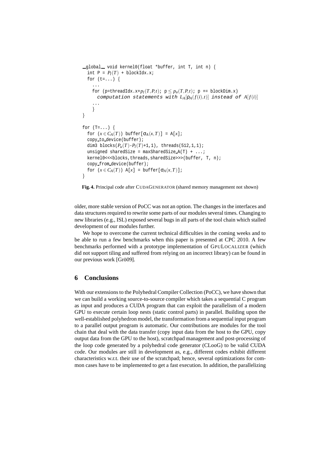```
\text{Qlobal}\_\text{void} kernel0(float *buffer, int T, int n) {
  int P = P_I(T) + \text{blockIdx.x};for (t=...) {
    ...
    for (p=threadIdx.x+p_l(T, P, t); p \leq p_u(T, P, t); p \neq blockDim.x)
      computation statements with L_A[\rho_A(f(i),t)] instead of A[f(i)]...
    }
}
for (T=...) {
  for (x \in C_A(T)) buffer[\sigma_A(x,T)] = A[x];
  copy to device(buffer);
  dim3 blocks(P_u(T) - P_l(T) + 1, 1), threads(512, 1, 1);
  unsigned sharedSize = maxSharedSize_A(T) + ...;
  kernel0<<<br/>blocks,threads,sharedSize>>>(buffer, T, n);
  copy from device(buffer);
  for (x \in C_A(T)) A[x] = \text{buffer}[\sigma_A(x,T)];}
```


older, more stable version of PoCC was not an option. The changes in the interfaces and data structures required to rewrite some parts of our modules several times. Changing to new libraries (e.g., ISL) exposed several bugs in all parts of the tool chain which stalled development of our modules further.

We hope to overcome the current technical difficulties in the coming weeks and to be able to run a few benchmarks when this paper is presented at CPC 2010. A few benchmarks performed with a prototype implementation of GPULOCALIZER (which did not support tiling and suffered from relying on an incorrect library) can be found in our previous work [Grö09].

## **6 Conclusions**

With our extensions to the Polyhedral Compiler Collection (PoCC), we have shown that we can build a working source-to-source compiler which takes a sequential C program as input and produces a CUDA program that can exploit the parallelism of a modern GPU to execute certain loop nests (static control parts) in parallel. Building upon the well-established polyhedron model, the transformation from a sequential input program to a parallel output program is automatic. Our contributions are modules for the tool chain that deal with the data transfer (copy input data from the host to the GPU, copy output data from the GPU to the host), scratchpad management and post-processing of the loop code generated by a polyhedral code generator (CLooG) to be valid CUDA code. Our modules are still in development as, e.g., different codes exhibit different characteristics w.r.t. their use of the scratchpad; hence, several optimizations for common cases have to be implemented to get a fast execution. In addition, the parallelizing